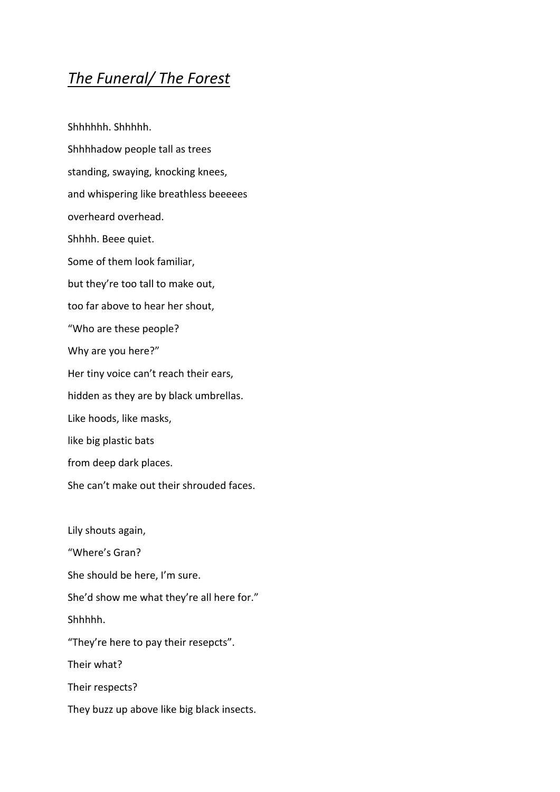## *The Funeral/ The Forest*

Shhhhhh. Shhhhh. Shhhhadow people tall as trees standing, swaying, knocking knees, and whispering like breathless beeeees overheard overhead. Shhhh. Beee quiet. Some of them look familiar, but they're too tall to make out, too far above to hear her shout, "Who are these people? Why are you here?" Her tiny voice can't reach their ears, hidden as they are by black umbrellas. Like hoods, like masks, like big plastic bats from deep dark places. She can't make out their shrouded faces.

Lily shouts again,

"Where's Gran?

She should be here, I'm sure.

She'd show me what they're all here for."

Shhhhh.

"They're here to pay their resepcts".

Their what?

Their respects?

They buzz up above like big black insects.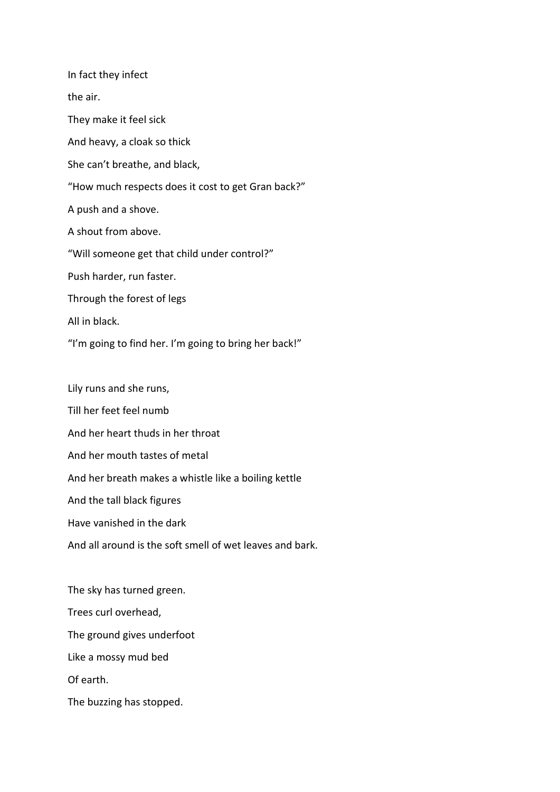In fact they infect the air. They make it feel sick And heavy, a cloak so thick She can't breathe, and black, "How much respects does it cost to get Gran back?" A push and a shove. A shout from above. "Will someone get that child under control?" Push harder, run faster. Through the forest of legs All in black. "I'm going to find her. I'm going to bring her back!"

Lily runs and she runs,

Till her feet feel numb And her heart thuds in her throat And her mouth tastes of metal And her breath makes a whistle like a boiling kettle And the tall black figures Have vanished in the dark

And all around is the soft smell of wet leaves and bark.

The sky has turned green. Trees curl overhead, The ground gives underfoot Like a mossy mud bed Of earth. The buzzing has stopped.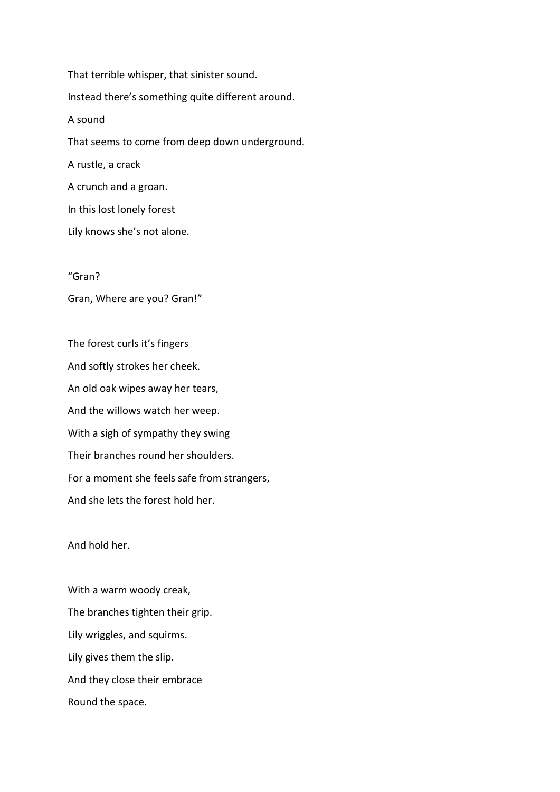That terrible whisper, that sinister sound. Instead there's something quite different around. A sound That seems to come from deep down underground. A rustle, a crack A crunch and a groan. In this lost lonely forest

Lily knows she's not alone.

"Gran?

Gran, Where are you? Gran!"

The forest curls it's fingers And softly strokes her cheek. An old oak wipes away her tears, And the willows watch her weep. With a sigh of sympathy they swing Their branches round her shoulders. For a moment she feels safe from strangers, And she lets the forest hold her.

And hold her.

With a warm woody creak, The branches tighten their grip. Lily wriggles, and squirms. Lily gives them the slip. And they close their embrace Round the space.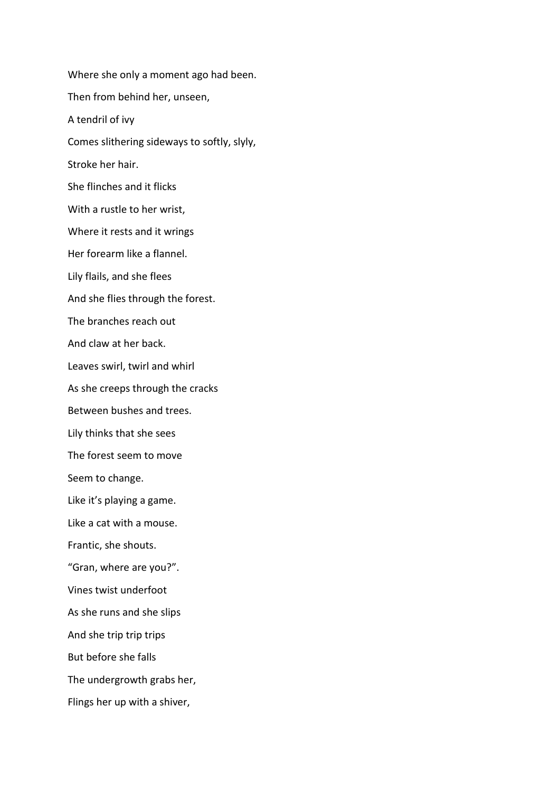Where she only a moment ago had been. Then from behind her, unseen, A tendril of ivy Comes slithering sideways to softly, slyly, Stroke her hair. She flinches and it flicks With a rustle to her wrist, Where it rests and it wrings Her forearm like a flannel. Lily flails, and she flees And she flies through the forest. The branches reach out And claw at her back. Leaves swirl, twirl and whirl As she creeps through the cracks Between bushes and trees. Lily thinks that she sees The forest seem to move Seem to change. Like it's playing a game. Like a cat with a mouse. Frantic, she shouts. "Gran, where are you?". Vines twist underfoot As she runs and she slips And she trip trip trips But before she falls The undergrowth grabs her, Flings her up with a shiver,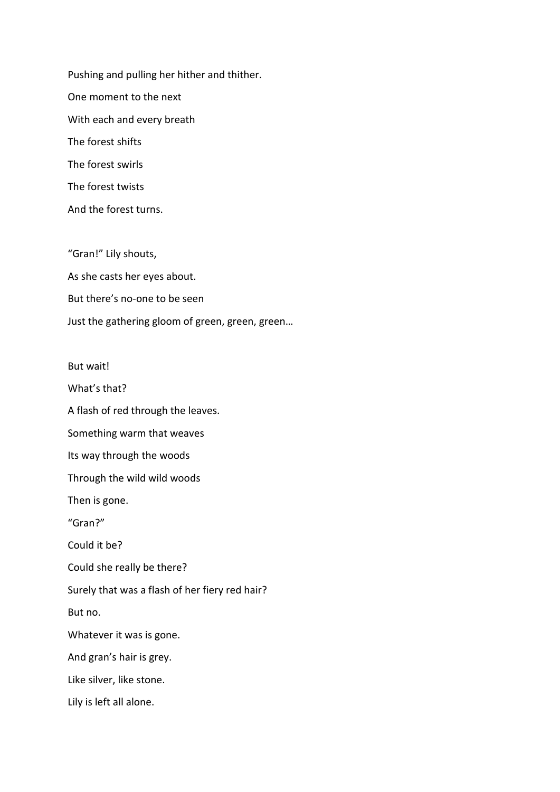Pushing and pulling her hither and thither. One moment to the next With each and every breath The forest shifts The forest swirls The forest twists

"Gran!" Lily shouts, As she casts her eyes about. But there's no-one to be seen Just the gathering gloom of green, green, green…

But wait!

What's that?

And the forest turns.

A flash of red through the leaves.

Something warm that weaves

Its way through the woods

Through the wild wild woods

Then is gone.

"Gran?"

Could it be?

Could she really be there?

Surely that was a flash of her fiery red hair?

But no.

Whatever it was is gone.

And gran's hair is grey.

Like silver, like stone.

Lily is left all alone.